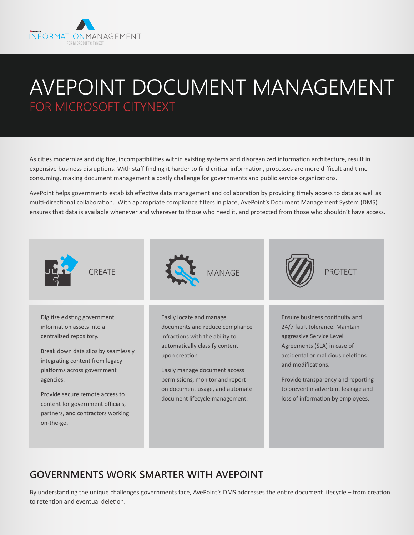

# AVEPOINT DOCUMENT MANAGEMENT FOR MICROSOFT CITYNEXT

As cities modernize and digitize, incompatibilities within existing systems and disorganized information architecture, result in expensive business disruptions. With staff finding it harder to find critical information, processes are more difficult and time consuming, making document management a costly challenge for governments and public service organizations.

AvePoint helps governments establish effective data management and collaboration by providing timely access to data as well as multi-directional collaboration. With appropriate compliance filters in place, AvePoint's Document Management System (DMS) ensures that data is available whenever and wherever to those who need it, and protected from those who shouldn't have access.



#### **GOVERNMENTS WORK SMARTER WITH AVEPOINT**

By understanding the unique challenges governments face, AvePoint's DMS addresses the entire document lifecycle – from creation to retention and eventual deletion.